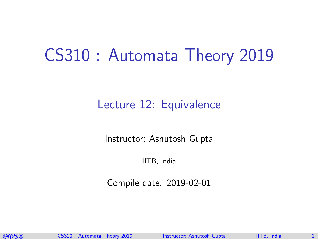## CS310 : Automata Theory 2019

#### Lecture 12: Equivalence

Instructor: [Ashutosh Gupta](http://www.cse.iitb.ac.in/~akg/)

IITB, India

Compile date: 2019-02-01

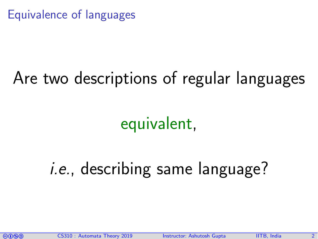Equivalence of languages

# Are two descriptions of regular languages

equivalent,

# i.e., describing same language?

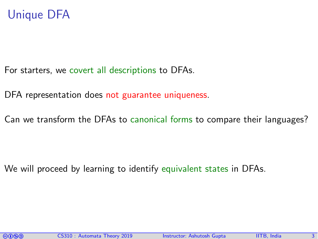#### Unique DFA

For starters, we covert all descriptions to DFAs.

DFA representation does not guarantee uniqueness.

Can we transform the DFAs to canonical forms to compare their languages?

We will proceed by learning to identify equivalent states in DFAs.

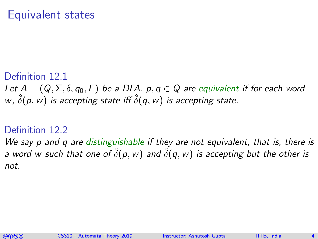#### Equivalent states

#### Definition 12.1 Let  $A = (Q, \Sigma, \delta, q_0, F)$  be a DFA.  $p, q \in Q$  are equivalent if for each word w,  $\hat{\delta}(\rho,w)$  is accepting state iff  $\hat{\delta}(q,w)$  is accepting state.

#### Definition 12.2

We say p and q are distinguishable if they are not equivalent, that is, there is a word w such that one of  $\hat{\delta}(\rho, w)$  and  $\hat{\delta}(q, w)$  is accepting but the other is not.

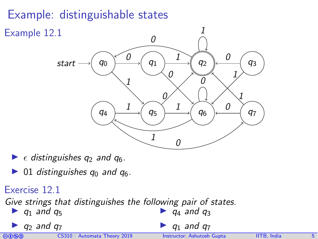### Example: distinguishable states



- $\blacktriangleright$   $\epsilon$  distinguishes q<sub>2</sub> and q<sub>6</sub>.
- ▶ 01 distinguishes  $q_0$  and  $q_6$ .

#### Exercise 12.1

Give strings that distinguishes the following pair of states.  $\blacktriangleright$  q<sub>4</sub> and q<sub>3</sub>

 $\blacktriangleright$  q<sub>1</sub> and q<sub>5</sub>

 $q_2$  and  $q_7$ 

comata Theory 2019 Instructor: [Ashutosh Gupta](http://www.cse.iitb.ac.in/~akg/) IITB, India 5. IITB

 $q_1$  and  $q_7$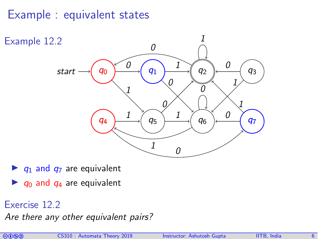#### Example : equivalent states



- $\triangleright$  q<sub>1</sub> and q<sub>7</sub> are equivalent
- $\blacktriangleright$   $q_0$  and  $q_4$  are equivalent

#### Exercise 12.2

Are there any other equivalent pairs?

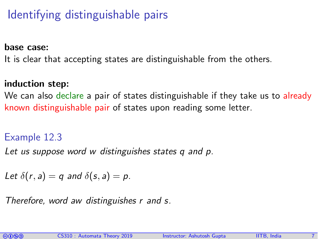### Identifying distinguishable pairs

base case:

It is clear that accepting states are distinguishable from the others.

#### induction step:

We can also declare a pair of states distinguishable if they take us to already known distinguishable pair of states upon reading some letter.

#### Example 12.3

Let us suppose word w distinguishes states q and p.

Let  $\delta(r, a) = q$  and  $\delta(s, a) = p$ .

Therefore, word aw distinguishes r and s.

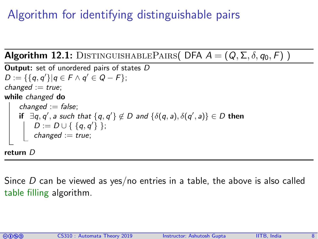### Algorithm for identifying distinguishable pairs

```
Algorithm 12.1: DISTINGUISHABLEPAIRS( DFA A = (Q, \Sigma, \delta, q_0, F))
  Output: set of unordered pairs of states D
D := \{\{q, q'\} | q \in F \wedge q' \in Q - F\};changed := true;while changed do
        changed := false;
\left\{ \quad \text{if} \ \ \exists q, q', a \text{ such that } \{q, q'\} \not\in D \text{ and } \{\delta(q, a), \delta(q', a)\} \in D \text{ then} \right\}D := D \cup \{ \{q, q'\} \};\begin{array}{|c|c|c|c|}\hline \ \quad & \quad \text{change} \end{array} := true;
  return D
```
Since  $D$  can be viewed as yes/no entries in a table, the above is also called table filling algorithm.

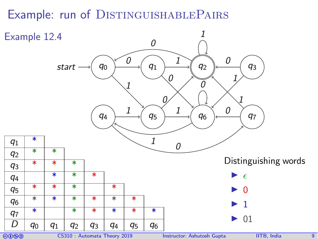### Example: run of DISTINGUISHABLEPAIRS

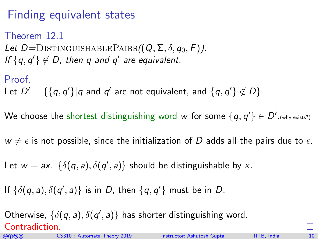### Finding equivalent states

Theorem 12.1 Let  $D =$ DISTINGUISHABLEPAIRS $((Q, \Sigma, \delta, q_0, F))$ . If  $\{q, q'\} \notin D$ , then q and q' are equivalent.

Proof.

Let  $D' = \{\{q, q'\} | q$  and  $q'$  are not equivalent, and  $\{q, q'\} \not\in D\}$ 

We choose the shortest distinguishing word w for some  $\{q,q'\} \in D'.$ (why exists?)

 $w \neq \epsilon$  is not possible, since the initialization of D adds all the pairs due to  $\epsilon$ .

Let  $w = ax$ .  $\{\delta(q, a), \delta(q', a)\}$  should be distinguishable by x.

If  $\{\delta(q, a), \delta(q', a)\}\$ is in D, then  $\{q, q'\}\$  must be in D.

Otherwise,  $\{\delta(q, a), \delta(q', a)\}$  has shorter distinguishing word. Contradiction.

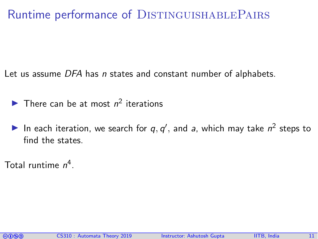#### Runtime performance of DISTINGUISHABLEPAIRS

Let us assume DFA has *n* states and constant number of alphabets.

- There can be at most  $n^2$  iterations
- In each iteration, we search for  $q, q'$ , and a, which may take  $n^2$  steps to find the states.

Total runtime  $n^4$ .

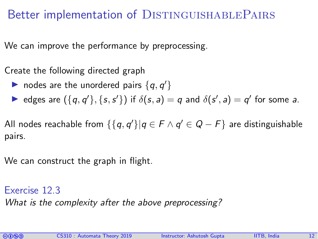#### Better implementation of DISTINGUISHABLEPAIRS

We can improve the performance by preprocessing.

Create the following directed graph

- ightharpoonup nodes are the unordered pairs  $\{q, q'\}$
- edges are  $(\lbrace q, q' \rbrace, \lbrace s, s' \rbrace)$  if  $\delta(s, a) = q$  and  $\delta(s', a) = q'$  for some a.

All nodes reachable from  $\{\{q,q'\}|q\in F\wedge q'\in Q-F\}$  are distinguishable pairs.

We can construct the graph in flight.

Exercise 12.3 What is the complexity after the above preprocessing?

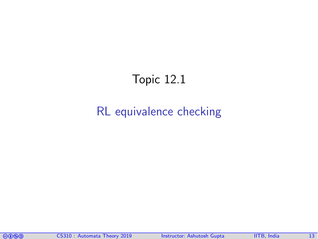### Topic 12.1

#### <span id="page-12-0"></span>[RL equivalence checking](#page-12-0)

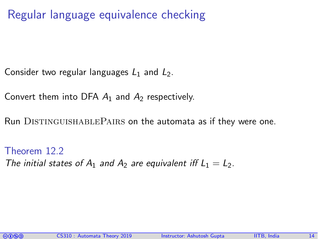Regular language equivalence checking

Consider two regular languages  $L_1$  and  $L_2$ .

Convert them into DFA  $A_1$  and  $A_2$  respectively.

Run DISTINGUISHABLEPAIRS on the automata as if they were one.

Theorem 12.2 The initial states of  $A_1$  and  $A_2$  are equivalent iff  $L_1 = L_2$ .

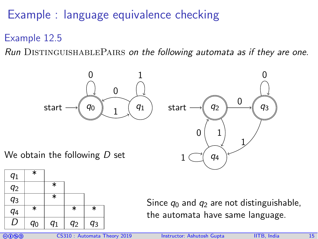Example : language equivalence checking

Example 12.5

Run  $D$ ISTINGUISHABLEPAIRS on the following automata as if they are one.



We obtain the following  $D$  set



Since  $q_0$  and  $q_2$  are not distinguishable, the automata have same language.

q4

1



1